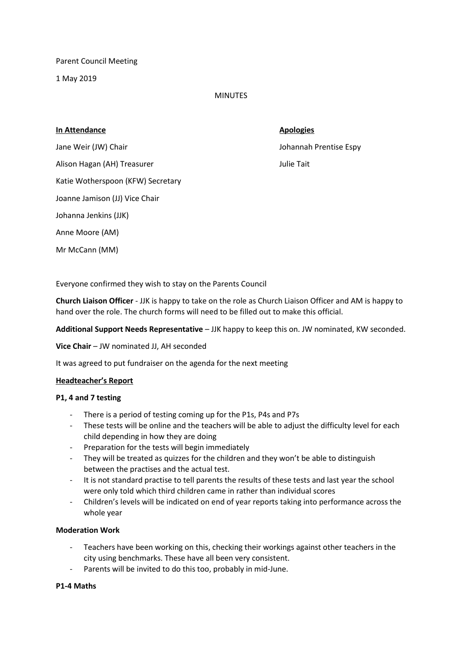Parent Council Meeting

1 May 2019

### MINUTES

#### **In Attendance Apologies**

Alison Hagan (AH) Treasurer Julie Tait

Katie Wotherspoon (KFW) Secretary

Joanne Jamison (JJ) Vice Chair

Johanna Jenkins (JJK)

Anne Moore (AM)

Mr McCann (MM)

Jane Weir (JW) Chair **Johannah Prentise Espy** 

Everyone confirmed they wish to stay on the Parents Council

**Church Liaison Officer** - JJK is happy to take on the role as Church Liaison Officer and AM is happy to hand over the role. The church forms will need to be filled out to make this official.

**Additional Support Needs Representative** – JJK happy to keep this on. JW nominated, KW seconded.

**Vice Chair** – JW nominated JJ, AH seconded

It was agreed to put fundraiser on the agenda for the next meeting

# **Headteacher's Report**

# **P1, 4 and 7 testing**

- There is a period of testing coming up for the P1s, P4s and P7s
- These tests will be online and the teachers will be able to adjust the difficulty level for each child depending in how they are doing
- Preparation for the tests will begin immediately
- They will be treated as quizzes for the children and they won't be able to distinguish between the practises and the actual test.
- It is not standard practise to tell parents the results of these tests and last year the school were only told which third children came in rather than individual scores
- Children's levels will be indicated on end of year reports taking into performance across the whole year

# **Moderation Work**

- Teachers have been working on this, checking their workings against other teachers in the city using benchmarks. These have all been very consistent.
- Parents will be invited to do this too, probably in mid-June.

# **P1-4 Maths**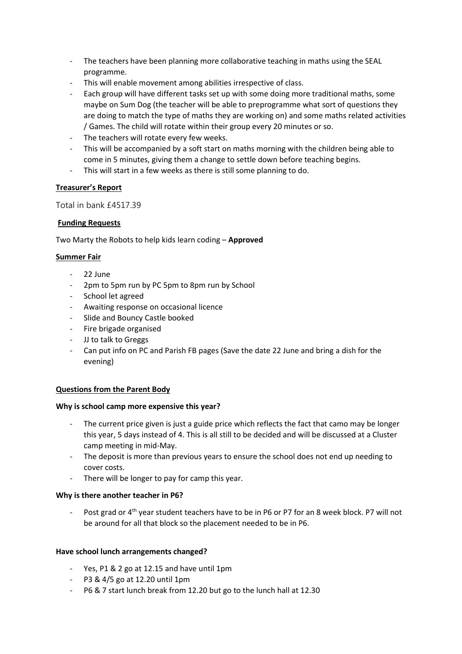- The teachers have been planning more collaborative teaching in maths using the SEAL programme.
- This will enable movement among abilities irrespective of class.
- Each group will have different tasks set up with some doing more traditional maths, some maybe on Sum Dog (the teacher will be able to preprogramme what sort of questions they are doing to match the type of maths they are working on) and some maths related activities / Games. The child will rotate within their group every 20 minutes or so.
- The teachers will rotate every few weeks.
- This will be accompanied by a soft start on maths morning with the children being able to come in 5 minutes, giving them a change to settle down before teaching begins.
- This will start in a few weeks as there is still some planning to do.

# **Treasurer's Report**

Total in bank £4517.39

# **Funding Requests**

Two Marty the Robots to help kids learn coding – **Approved**

# **Summer Fair**

- 22 June
- 2pm to 5pm run by PC 5pm to 8pm run by School
- School let agreed
- Awaiting response on occasional licence
- Slide and Bouncy Castle booked
- Fire brigade organised
- JJ to talk to Greggs
- Can put info on PC and Parish FB pages (Save the date 22 June and bring a dish for the evening)

# **Questions from the Parent Body**

#### **Why is school camp more expensive this year?**

- The current price given is just a guide price which reflects the fact that camo may be longer this year, 5 days instead of 4. This is all still to be decided and will be discussed at a Cluster camp meeting in mid-May.
- The deposit is more than previous years to ensure the school does not end up needing to cover costs.
- There will be longer to pay for camp this year.

# **Why is there another teacher in P6?**

Post grad or 4<sup>th</sup> year student teachers have to be in P6 or P7 for an 8 week block. P7 will not be around for all that block so the placement needed to be in P6.

# **Have school lunch arrangements changed?**

- Yes, P1 & 2 go at 12.15 and have until 1pm
- P3 & 4/5 go at 12.20 until 1pm
- P6 & 7 start lunch break from 12.20 but go to the lunch hall at 12.30